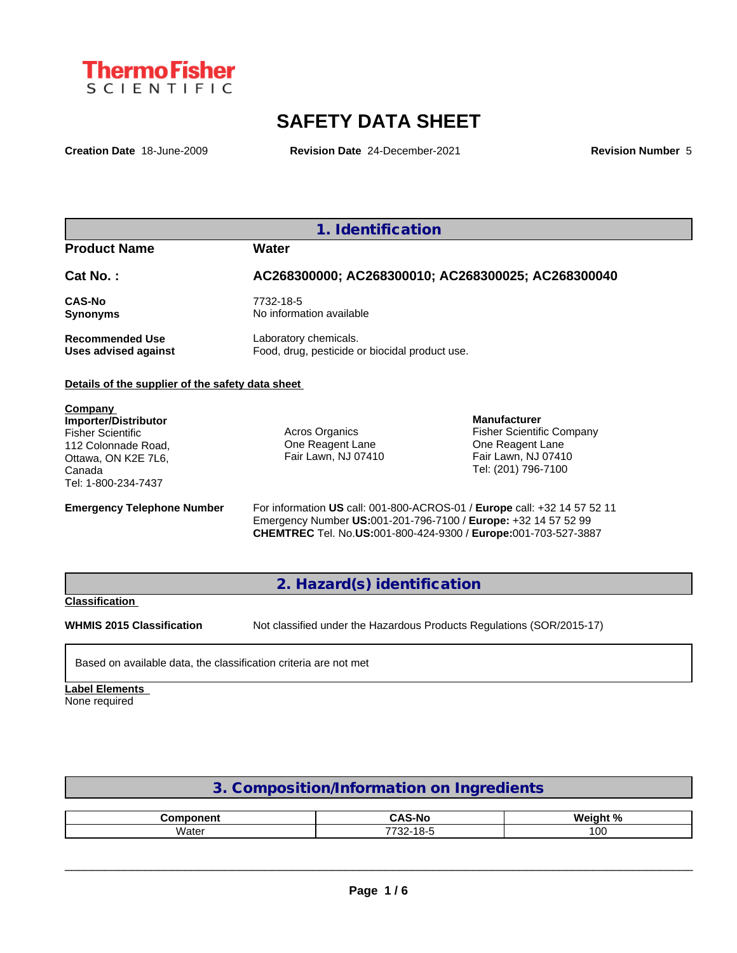

# **SAFETY DATA SHEET**

**Creation Date** 18-June-2009 **Revision Date** 24-December-2021 **Revision Number** 5

**1. Identification**

**Product Name Water**

## **Cat No. : AC268300000; AC268300010; AC268300025; AC268300040 CAS-No** 7732-18-5 **Synonyms** No information available **Recommended Use** Laboratory chemicals.<br> **Uses advised against** Food, drug, pesticide of Food, drug, pesticide or biocidal product use.

#### **Details of the supplier of the safety data sheet**

**Company Importer/Distributor** Fisher Scientific 112 Colonnade Road, Ottawa, ON K2E 7L6, Canada Tel: 1-800-234-7437

Acros Organics One Reagent Lane Fair Lawn, NJ 07410

**Manufacturer** Fisher Scientific Company One Reagent Lane Fair Lawn, NJ 07410 Tel: (201) 796-7100

**Emergency Telephone Number** For information **US** call: 001-800-ACROS-01 / **Europe** call: +32 14 57 52 11 Emergency Number **US:**001-201-796-7100 / **Europe:** +32 14 57 52 99 **CHEMTREC** Tel. No.**US:**001-800-424-9300 / **Europe:**001-703-527-3887

**2. Hazard(s) identification**

#### **Classification**

**WHMIS 2015 Classification** Not classified under the Hazardous Products Regulations (SOR/2015-17)

Based on available data, the classification criteria are not met

**Label Elements** None required

### **3. Composition/Information on Ingredients**

| .            | .:Δ. Ω                     | О.             |
|--------------|----------------------------|----------------|
| - 100        | 5-NG                       | <b>Wain</b>    |
| . .<br>Water | .<br>7700<br>10-C<br>-22 / | $\Omega$<br>vu |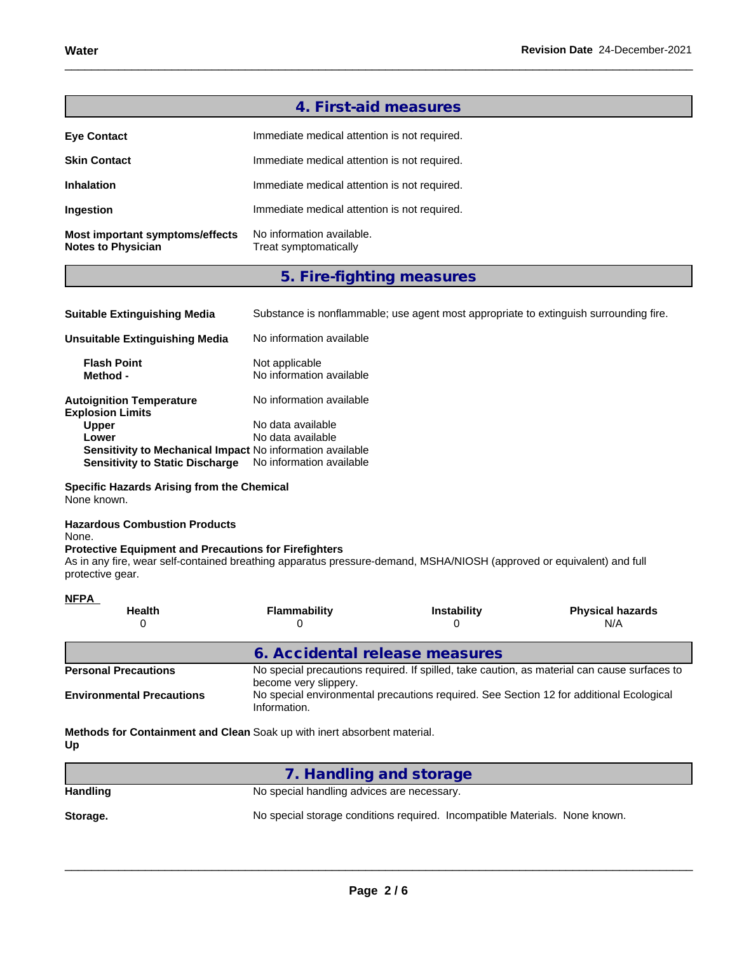|                                                              | 4. First-aid measures                              |
|--------------------------------------------------------------|----------------------------------------------------|
| <b>Eye Contact</b>                                           | Immediate medical attention is not required.       |
| <b>Skin Contact</b>                                          | Immediate medical attention is not required.       |
| <b>Inhalation</b>                                            | Immediate medical attention is not required.       |
| Ingestion                                                    | Immediate medical attention is not required.       |
| Most important symptoms/effects<br><b>Notes to Physician</b> | No information available.<br>Treat symptomatically |

# **5. Fire-fighting measures**

| <b>Suitable Extinguishing Media</b>                                                                 | Substance is nonflammable; use agent most appropriate to extinguish surrounding fire. |
|-----------------------------------------------------------------------------------------------------|---------------------------------------------------------------------------------------|
| <b>Unsuitable Extinguishing Media</b>                                                               | No information available                                                              |
| <b>Flash Point</b><br>Method -                                                                      | Not applicable<br>No information available                                            |
| <b>Autoignition Temperature</b><br><b>Explosion Limits</b>                                          | No information available                                                              |
| <b>Upper</b>                                                                                        | No data available                                                                     |
| Lower                                                                                               | No data available                                                                     |
| Sensitivity to Mechanical Impact No information available<br><b>Sensitivity to Static Discharge</b> | No information available                                                              |

**Specific Hazards Arising from the Chemical** None known.

#### **Hazardous Combustion Products** None.

#### **Protective Equipment and Precautions for Firefighters**

As in any fire, wear self-contained breathing apparatus pressure-demand, MSHA/NIOSH (approved or equivalent) and full protective gear.

| <b>NFPA</b>                      |                                                                                                                       |                    |                                                                                         |  |  |  |
|----------------------------------|-----------------------------------------------------------------------------------------------------------------------|--------------------|-----------------------------------------------------------------------------------------|--|--|--|
| <b>Health</b>                    | <b>Flammability</b>                                                                                                   | <b>Instability</b> | <b>Physical hazards</b><br>N/A                                                          |  |  |  |
|                                  | 6. Accidental release measures                                                                                        |                    |                                                                                         |  |  |  |
| <b>Personal Precautions</b>      | No special precautions required. If spilled, take caution, as material can cause surfaces to<br>become very slippery. |                    |                                                                                         |  |  |  |
| <b>Environmental Precautions</b> | Information.                                                                                                          |                    | No special environmental precautions required. See Section 12 for additional Ecological |  |  |  |

**Methods for Containment and Clean** Soak up with inert absorbent material. **Up**

|                 | 7. Handling and storage                                                     |
|-----------------|-----------------------------------------------------------------------------|
| <b>Handling</b> | No special handling advices are necessary.                                  |
| Storage.        | No special storage conditions required. Incompatible Materials. None known. |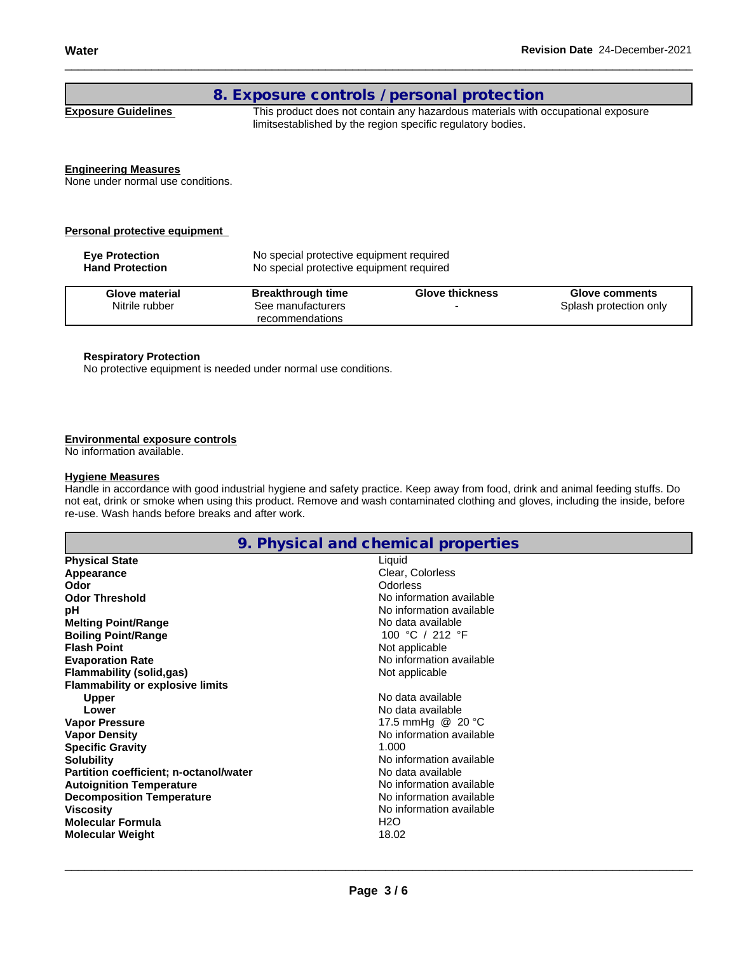### **8. Exposure controls / personal protection**

**Exposure Guidelines** This product does not contain any hazardous materials with occupational exposure limitsestablished by the region specific regulatory bodies.

#### **Engineering Measures**

None under normal use conditions.

#### **Personal protective equipment**

| <b>Eve Protection</b><br><b>Hand Protection</b> | No special protective equipment required<br>No special protective equipment required |                        |                        |
|-------------------------------------------------|--------------------------------------------------------------------------------------|------------------------|------------------------|
| Glove material                                  | <b>Breakthrough time</b>                                                             | <b>Glove thickness</b> | <b>Glove comments</b>  |
| Nitrile rubber                                  | See manufacturers<br>recommendations                                                 |                        | Splash protection only |

#### **Respiratory Protection**

No protective equipment is needed under normal use conditions.

#### **Environmental exposure controls**

No information available.

#### **Hygiene Measures**

Handle in accordance with good industrial hygiene and safety practice. Keep away from food, drink and animal feeding stuffs. Do not eat, drink or smoke when using this product. Remove and wash contaminated clothing and gloves, including the inside, before re-use. Wash hands before breaks and after work.

## **9. Physical and chemical properties**

| <b>Physical State</b>                         | Liquid                   |
|-----------------------------------------------|--------------------------|
| Appearance                                    | Clear, Colorless         |
| Odor                                          | Odorless                 |
| <b>Odor Threshold</b>                         | No information available |
| рH                                            | No information available |
| <b>Melting Point/Range</b>                    | No data available        |
| <b>Boiling Point/Range</b>                    | 100 °C / 212 °F          |
| <b>Flash Point</b>                            | Not applicable           |
| <b>Evaporation Rate</b>                       | No information available |
| Flammability (solid,gas)                      | Not applicable           |
| <b>Flammability or explosive limits</b>       |                          |
| <b>Upper</b>                                  | No data available        |
| Lower                                         | No data available        |
| <b>Vapor Pressure</b>                         | 17.5 mmHg @ 20 °C        |
| <b>Vapor Density</b>                          | No information available |
| <b>Specific Gravity</b>                       | 1.000                    |
| <b>Solubility</b>                             | No information available |
| <b>Partition coefficient; n-octanol/water</b> | No data available        |
| <b>Autoignition Temperature</b>               | No information available |
| <b>Decomposition Temperature</b>              | No information available |
| <b>Viscosity</b>                              | No information available |
| <b>Molecular Formula</b>                      | H <sub>2</sub> O         |
| <b>Molecular Weight</b>                       | 18.02                    |
|                                               |                          |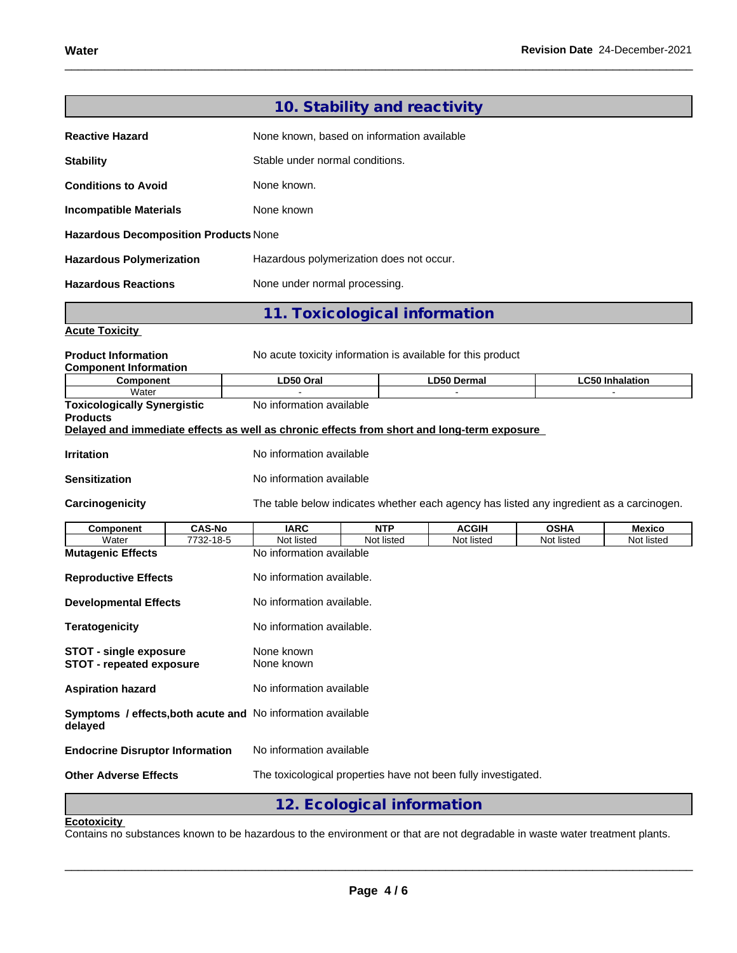|                                                                  |                            |                                                                                                                        | 10. Stability and reactivity |                                                                                          |                           |                        |
|------------------------------------------------------------------|----------------------------|------------------------------------------------------------------------------------------------------------------------|------------------------------|------------------------------------------------------------------------------------------|---------------------------|------------------------|
| <b>Reactive Hazard</b>                                           |                            | None known, based on information available                                                                             |                              |                                                                                          |                           |                        |
| <b>Stability</b>                                                 |                            | Stable under normal conditions.                                                                                        |                              |                                                                                          |                           |                        |
| <b>Conditions to Avoid</b>                                       |                            | None known.                                                                                                            |                              |                                                                                          |                           |                        |
| <b>Incompatible Materials</b>                                    |                            | None known                                                                                                             |                              |                                                                                          |                           |                        |
| Hazardous Decomposition Products None                            |                            |                                                                                                                        |                              |                                                                                          |                           |                        |
| <b>Hazardous Polymerization</b>                                  |                            | Hazardous polymerization does not occur.                                                                               |                              |                                                                                          |                           |                        |
| <b>Hazardous Reactions</b>                                       |                            | None under normal processing.                                                                                          |                              |                                                                                          |                           |                        |
|                                                                  |                            | 11. Toxicological information                                                                                          |                              |                                                                                          |                           |                        |
| <b>Acute Toxicity</b>                                            |                            |                                                                                                                        |                              |                                                                                          |                           |                        |
| <b>Product Information</b><br><b>Component Information</b>       |                            |                                                                                                                        |                              | No acute toxicity information is available for this product                              |                           |                        |
| Component                                                        |                            | LD50 Oral                                                                                                              |                              | <b>LD50 Dermal</b>                                                                       |                           | <b>LC50 Inhalation</b> |
| Water<br><b>Toxicologically Synergistic</b><br><b>Products</b>   |                            | No information available<br>Delayed and immediate effects as well as chronic effects from short and long-term exposure |                              |                                                                                          |                           |                        |
|                                                                  |                            | No information available                                                                                               |                              |                                                                                          |                           |                        |
| <b>Irritation</b>                                                |                            |                                                                                                                        |                              |                                                                                          |                           |                        |
| <b>Sensitization</b>                                             |                            | No information available                                                                                               |                              |                                                                                          |                           |                        |
| Carcinogenicity                                                  |                            |                                                                                                                        |                              | The table below indicates whether each agency has listed any ingredient as a carcinogen. |                           |                        |
| <b>Component</b><br>Water                                        | <b>CAS-No</b><br>7732-18-5 | <b>IARC</b><br>Not listed                                                                                              | <b>NTP</b><br>Not listed     | <b>ACGIH</b><br>Not listed                                                               | <b>OSHA</b><br>Not listed | Mexico<br>Not listed   |
| <b>Mutagenic Effects</b>                                         |                            | No information available                                                                                               |                              |                                                                                          |                           |                        |
| <b>Reproductive Effects</b>                                      |                            | No information available.                                                                                              |                              |                                                                                          |                           |                        |
| <b>Developmental Effects</b>                                     |                            | No information available.                                                                                              |                              |                                                                                          |                           |                        |
| <b>Teratogenicity</b>                                            |                            | No information available.                                                                                              |                              |                                                                                          |                           |                        |
| <b>STOT - single exposure</b><br><b>STOT - repeated exposure</b> |                            | None known<br>None known                                                                                               |                              |                                                                                          |                           |                        |
| <b>Aspiration hazard</b>                                         |                            | No information available                                                                                               |                              |                                                                                          |                           |                        |
| delayed                                                          |                            | Symptoms / effects, both acute and No information available                                                            |                              |                                                                                          |                           |                        |
| <b>Endocrine Disruptor Information</b>                           |                            | No information available                                                                                               |                              |                                                                                          |                           |                        |
| <b>Other Adverse Effects</b>                                     |                            |                                                                                                                        |                              | The toxicological properties have not been fully investigated.                           |                           |                        |
|                                                                  |                            |                                                                                                                        | 12. Ecological information   |                                                                                          |                           |                        |
| <b>Ecotoxicity</b>                                               |                            |                                                                                                                        |                              |                                                                                          |                           |                        |

Contains no substances known to be hazardous to the environment or that are not degradable in waste water treatment plants.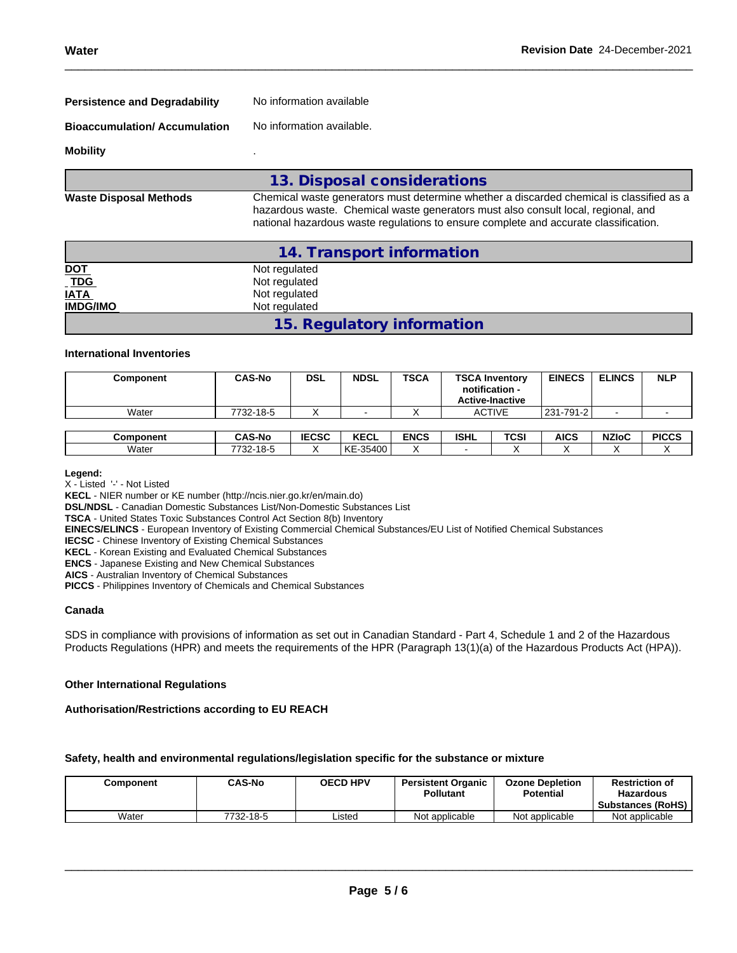| <b>Persistence and Degradability</b> | No information available |  |
|--------------------------------------|--------------------------|--|
|--------------------------------------|--------------------------|--|

**Bioaccumulation/ Accumulation** No information available.

#### **Mobility** .

|                               | 13. Disposal considerations                                                                                                                                                                                                                                           |
|-------------------------------|-----------------------------------------------------------------------------------------------------------------------------------------------------------------------------------------------------------------------------------------------------------------------|
| <b>Waste Disposal Methods</b> | Chemical waste generators must determine whether a discarded chemical is classified as a<br>hazardous waste. Chemical waste generators must also consult local, regional, and<br>national hazardous waste regulations to ensure complete and accurate classification. |

|                                                         | 14. Transport information  |  |
|---------------------------------------------------------|----------------------------|--|
|                                                         | Not regulated              |  |
| $\frac{\underline{\text{NOT}}}{\underline{\text{TDG}}}$ | Not regulated              |  |
| <b>IATA</b>                                             | Not regulated              |  |
| <b>IMDG/IMO</b>                                         | Not regulated              |  |
|                                                         | 15. Regulatory information |  |

#### **International Inventories**

| Component        | <b>CAS-No</b> | <b>DSL</b>   | <b>NDSL</b> | <b>TSCA</b> | <b>TSCA Inventory</b><br>notification -<br><b>Active-Inactive</b> |      | <b>EINECS</b> | <b>ELINCS</b> | <b>NLP</b>   |
|------------------|---------------|--------------|-------------|-------------|-------------------------------------------------------------------|------|---------------|---------------|--------------|
| Water            | 7732-18-5     |              |             |             | <b>ACTIVE</b>                                                     |      | 231-791-2     |               |              |
|                  |               |              |             |             |                                                                   |      |               |               |              |
| <b>Component</b> | <b>CAS-No</b> | <b>IECSC</b> | <b>KECL</b> | <b>ENCS</b> | <b>ISHL</b>                                                       | TCSI | <b>AICS</b>   | <b>NZIoC</b>  | <b>PICCS</b> |
| Water            | 7732-18-5     |              | KE-35400    |             |                                                                   |      |               |               |              |

#### **Legend:**

X - Listed '-' - Not Listed

**KECL** - NIER number or KE number (http://ncis.nier.go.kr/en/main.do)

**DSL/NDSL** - Canadian Domestic Substances List/Non-Domestic Substances List

**TSCA** - United States Toxic Substances Control Act Section 8(b) Inventory

**EINECS/ELINCS** - European Inventory of Existing Commercial Chemical Substances/EU List of Notified Chemical Substances

**IECSC** - Chinese Inventory of Existing Chemical Substances

**KECL** - Korean Existing and Evaluated Chemical Substances

**ENCS** - Japanese Existing and New Chemical Substances

**AICS** - Australian Inventory of Chemical Substances

**PICCS** - Philippines Inventory of Chemicals and Chemical Substances

#### **Canada**

SDS in compliance with provisions of information as set out in Canadian Standard - Part 4, Schedule 1 and 2 of the Hazardous Products Regulations (HPR) and meets the requirements of the HPR (Paragraph 13(1)(a) of the Hazardous Products Act (HPA)).

#### **Other International Regulations**

#### **Authorisation/Restrictions according to EU REACH**

#### **Safety, health and environmental regulations/legislation specific for the substance or mixture**

| Component | CAS-No    | <b>OECD HPV</b> | <b>Persistent Organic</b><br><b>Pollutant</b> | <b>Ozone Depletion</b><br><b>Potential</b> | <b>Restriction of</b><br><b>Hazardous</b><br><b>Substances (RoHS)</b> |
|-----------|-----------|-----------------|-----------------------------------------------|--------------------------------------------|-----------------------------------------------------------------------|
| Water     | 7732-18-5 | _isted          | Not applicable                                | Not applicable                             | Not applicable                                                        |